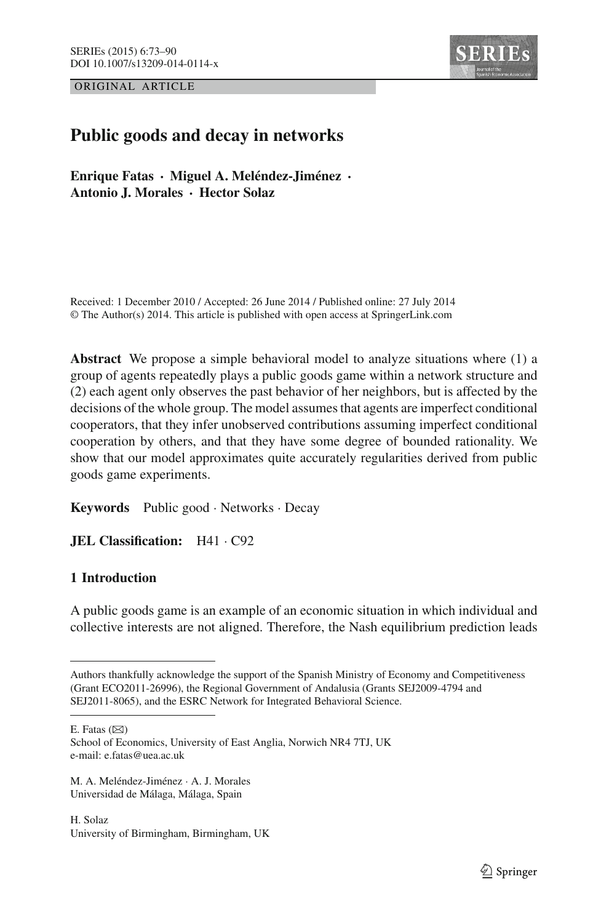ORIGINAL ARTICLE



# **Public goods and decay in networks**

**Enrique Fatas · Miguel A. Meléndez-Jiménez · Antonio J. Morales · Hector Solaz**

Received: 1 December 2010 / Accepted: 26 June 2014 / Published online: 27 July 2014 © The Author(s) 2014. This article is published with open access at SpringerLink.com

**Abstract** We propose a simple behavioral model to analyze situations where (1) a group of agents repeatedly plays a public goods game within a network structure and (2) each agent only observes the past behavior of her neighbors, but is affected by the decisions of the whole group. The model assumes that agents are imperfect conditional cooperators, that they infer unobserved contributions assuming imperfect conditional cooperation by others, and that they have some degree of bounded rationality. We show that our model approximates quite accurately regularities derived from public goods game experiments.

**Keywords** Public good · Networks · Decay

**JEL Classification:** H41 · C92

### **1 Introduction**

A public goods game is an example of an economic situation in which individual and collective interests are not aligned. Therefore, the Nash equilibrium prediction leads

E. Fatas  $(\boxtimes)$ 

M. A. Meléndez-Jiménez · A. J. Morales Universidad de Málaga, Málaga, Spain

H. Solaz University of Birmingham, Birmingham, UK

Authors thankfully acknowledge the support of the Spanish Ministry of Economy and Competitiveness (Grant ECO2011-26996), the Regional Government of Andalusia (Grants SEJ2009-4794 and SEJ2011-8065), and the ESRC Network for Integrated Behavioral Science.

School of Economics, University of East Anglia, Norwich NR4 7TJ, UK e-mail: e.fatas@uea.ac.uk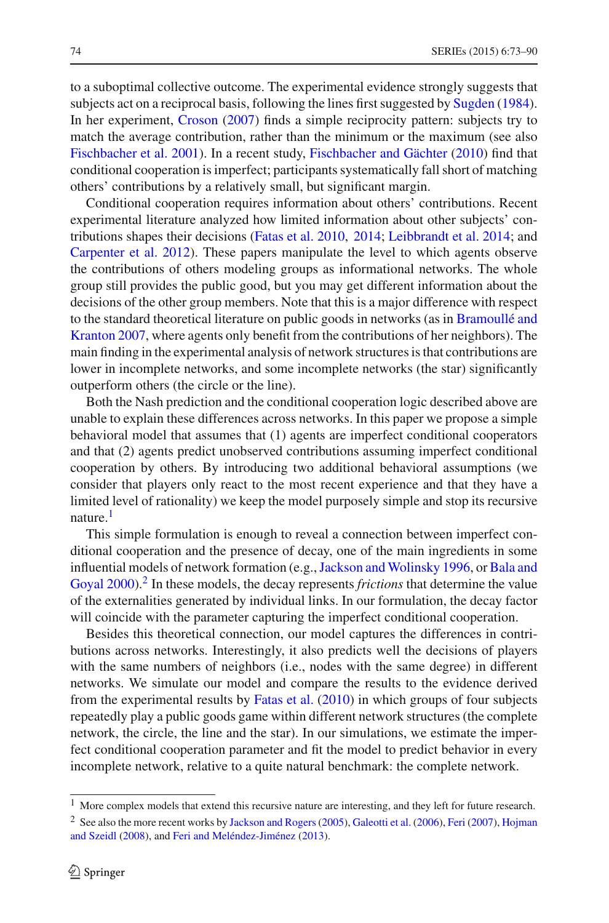to a suboptimal collective outcome. The experimental evidence strongly suggests that subjects act on a reciprocal basis, following the lines first suggested by [Sugden](#page-17-0) [\(1984](#page-17-0)). In her experiment, [Croson](#page-17-1) [\(2007\)](#page-17-1) finds a simple reciprocity pattern: subjects try to match the average contribution, rather than the minimum or the maximum (see also [Fischbacher et al. 2001\)](#page-17-2). In a recent study, [Fischbacher and Gächter](#page-17-3) [\(2010\)](#page-17-3) find that conditional cooperation is imperfect; participants systematically fall short of matching others' contributions by a relatively small, but significant margin.

Conditional cooperation requires information about others' contributions. Recent experimental literature analyzed how limited information about other subjects' contributions shapes their decisions [\(Fatas et al. 2010](#page-17-4), [2014](#page-17-5); [Leibbrandt et al. 2014](#page-17-6); and [Carpenter et al. 2012](#page-17-7)). These papers manipulate the level to which agents observe the contributions of others modeling groups as informational networks. The whole group still provides the public good, but you may get different information about the decisions of the other group members. Note that this is a major difference with respect to the st[andard](#page-17-8) [theoretical](#page-17-8) [literature](#page-17-8) [on](#page-17-8) [public](#page-17-8) [goods](#page-17-8) [in](#page-17-8) [networks](#page-17-8) [\(as](#page-17-8) [in](#page-17-8) Bramoullé and Kranton [2007](#page-17-8), where agents only benefit from the contributions of her neighbors). The main finding in the experimental analysis of network structures is that contributions are lower in incomplete networks, and some incomplete networks (the star) significantly outperform others (the circle or the line).

Both the Nash prediction and the conditional cooperation logic described above are unable to explain these differences across networks. In this paper we propose a simple behavioral model that assumes that (1) agents are imperfect conditional cooperators and that (2) agents predict unobserved contributions assuming imperfect conditional cooperation by others. By introducing two additional behavioral assumptions (we consider that players only react to the most recent experience and that they have a limited level of rationality) we keep the model purposely simple and stop its recursive nature.[1](#page-1-0)

This simple formulation is enough to reveal a connection between imperfect conditional cooperation and the presence of decay, one of the main ingredients in some influe[ntial](#page-17-10) [models](#page-17-10) [of](#page-17-10) [network](#page-17-10) [formation](#page-17-10) [\(e.g.,](#page-17-10) [Jackson and Wolinsky 1996](#page-17-9)[,](#page-17-10) [or](#page-17-10) Bala and Goyal [2000](#page-17-10)).<sup>[2](#page-1-1)</sup> In these models, the decay represents *frictions* that determine the value of the externalities generated by individual links. In our formulation, the decay factor will coincide with the parameter capturing the imperfect conditional cooperation.

Besides this theoretical connection, our model captures the differences in contributions across networks. Interestingly, it also predicts well the decisions of players with the same numbers of neighbors (i.e., nodes with the same degree) in different networks. We simulate our model and compare the results to the evidence derived from the experimental results by [Fatas et al.](#page-17-4) [\(2010](#page-17-4)) in which groups of four subjects repeatedly play a public goods game within different network structures (the complete network, the circle, the line and the star). In our simulations, we estimate the imperfect conditional cooperation parameter and fit the model to predict behavior in every incomplete network, relative to a quite natural benchmark: the complete network.

<sup>1</sup> More complex models that extend this recursive nature are interesting, and they left for future research.

<span id="page-1-1"></span><span id="page-1-0"></span><sup>&</sup>lt;sup>2</sup> See also the more recent works by Jackson and Rogers (2005[\),](#page-17-14) [Galeotti et al.](#page-17-12) [\(2006](#page-17-12)), [Feri](#page-17-13) [\(2007](#page-17-13)), Hojman and Szeidl [\(2008\)](#page-17-14), and [Feri and Meléndez-Jiménez](#page-17-15) [\(2013](#page-17-15)).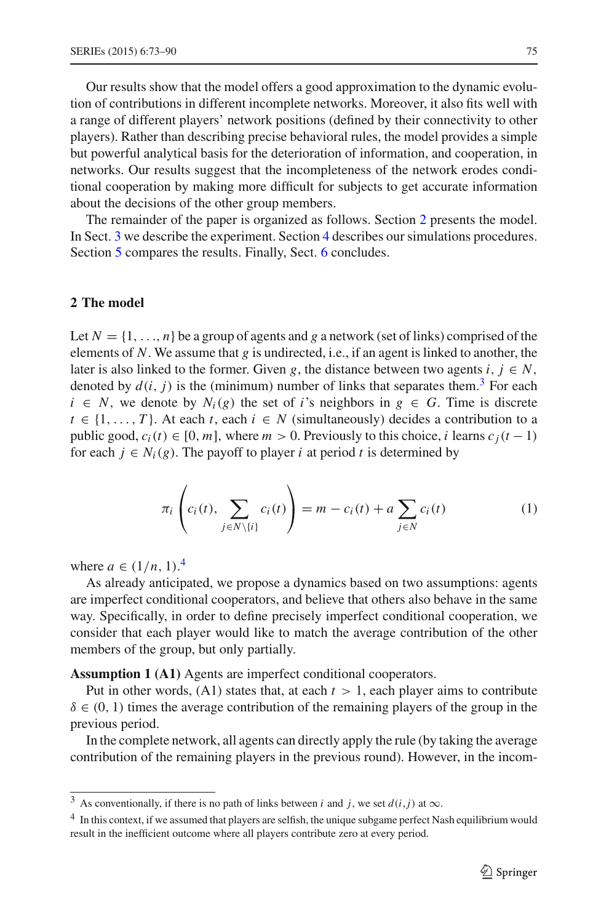Our results show that the model offers a good approximation to the dynamic evolution of contributions in different incomplete networks. Moreover, it also fits well with a range of different players' network positions (defined by their connectivity to other players). Rather than describing precise behavioral rules, the model provides a simple but powerful analytical basis for the deterioration of information, and cooperation, in networks. Our results suggest that the incompleteness of the network erodes conditional cooperation by making more difficult for subjects to get accurate information about the decisions of the other group members.

The remainder of the paper is organized as follows. Section [2](#page-2-0) presents the model. In Sect. [3](#page-7-0) we describe the experiment. Section [4](#page-9-0) describes our simulations procedures. Section [5](#page-9-1) compares the results. Finally, Sect. [6](#page-12-0) concludes.

### <span id="page-2-0"></span>**2 The model**

Let  $N = \{1, \ldots, n\}$  be a group of agents and g a network (set of links) comprised of the elements of *N*. We assume that *g* is undirected, i.e., if an agent is linked to another, the later is also linked to the former. Given *g*, the distance between two agents  $i, j \in N$ , denoted by  $d(i, j)$  is the (minimum) number of links that separates them.<sup>[3](#page-2-1)</sup> For each *i* ∈ *N*, we denote by  $N_i(g)$  the set of *i*'s neighbors in  $g \text{ } \in G$ . Time is discrete  $t \in \{1, \ldots, T\}$ . At each  $t$ , each  $i \in N$  (simultaneously) decides a contribution to a public good,  $c_i(t)$  ∈ [0, *m*], where *m* > 0. Previously to this choice, *i* learns  $c_j(t-1)$ for each  $j \in N_i(g)$ . The payoff to player *i* at period *t* is determined by

$$
\pi_i \left( c_i(t), \sum_{j \in N \setminus \{i\}} c_i(t) \right) = m - c_i(t) + a \sum_{j \in N} c_i(t) \tag{1}
$$

<span id="page-2-3"></span>where  $a \in (1/n, 1)$ .<sup>[4](#page-2-2)</sup>

As already anticipated, we propose a dynamics based on two assumptions: agents are imperfect conditional cooperators, and believe that others also behave in the same way. Specifically, in order to define precisely imperfect conditional cooperation, we consider that each player would like to match the average contribution of the other members of the group, but only partially.

**Assumption 1 (A1)** Agents are imperfect conditional cooperators.

Put in other words,  $(A1)$  states that, at each  $t > 1$ , each player aims to contribute  $\delta \in (0, 1)$  times the average contribution of the remaining players of the group in the previous period.

In the complete network, all agents can directly apply the rule (by taking the average contribution of the remaining players in the previous round). However, in the incom-

<sup>&</sup>lt;sup>3</sup> As conventionally, if there is no path of links between *i* and *j*, we set  $d(i, j)$  at  $\infty$ .

<span id="page-2-2"></span><span id="page-2-1"></span><sup>&</sup>lt;sup>4</sup> In this context, if we assumed that players are selfish, the unique subgame perfect Nash equilibrium would result in the inefficient outcome where all players contribute zero at every period.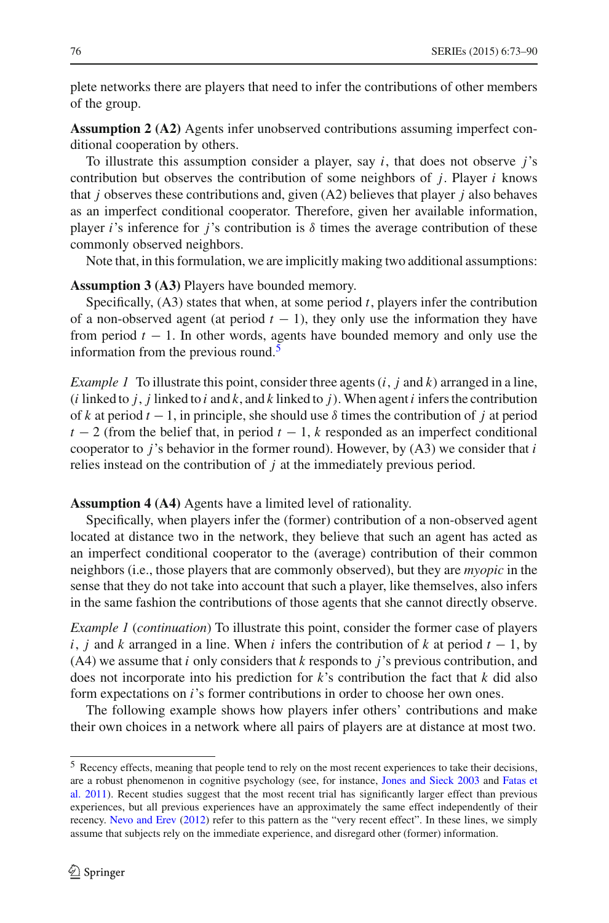plete networks there are players that need to infer the contributions of other members of the group.

**Assumption 2 (A2)** Agents infer unobserved contributions assuming imperfect conditional cooperation by others.

To illustrate this assumption consider a player, say *i*, that does not observe *j*'s contribution but observes the contribution of some neighbors of *j*. Player *i* knows that *j* observes these contributions and, given (A2) believes that player *j* also behaves as an imperfect conditional cooperator. Therefore, given her available information, player *i*'s inference for *j*'s contribution is  $\delta$  times the average contribution of these commonly observed neighbors.

Note that, in this formulation, we are implicitly making two additional assumptions:

### **Assumption 3 (A3)** Players have bounded memory.

Specifically, (A3) states that when, at some period *t*, players infer the contribution of a non-observed agent (at period  $t - 1$ ), they only use the information they have from period  $t - 1$ . In other words, agents have bounded memory and only use the information from the previous round.<sup>5</sup>

*Example 1* To illustrate this point, consider three agents (*i*, *j* and *k*) arranged in a line,  $(i)$  linked to *i*, *j* linked to *i* and *k*, and *k* linked to *j*). When agent *i* infers the contribution of *k* at period *t* − 1, in principle, she should use δ times the contribution of *j* at period  $t - 2$  (from the belief that, in period  $t - 1$ , *k* responded as an imperfect conditional cooperator to *j*'s behavior in the former round). However, by (A3) we consider that *i* relies instead on the contribution of *j* at the immediately previous period.

#### **Assumption 4 (A4)** Agents have a limited level of rationality.

Specifically, when players infer the (former) contribution of a non-observed agent located at distance two in the network, they believe that such an agent has acted as an imperfect conditional cooperator to the (average) contribution of their common neighbors (i.e., those players that are commonly observed), but they are *myopic* in the sense that they do not take into account that such a player, like themselves, also infers in the same fashion the contributions of those agents that she cannot directly observe.

*Example 1* (*continuation*) To illustrate this point, consider the former case of players *i*, *j* and *k* arranged in a line. When *i* infers the contribution of *k* at period  $t - 1$ , by (A4) we assume that *i* only considers that *k* responds to *j*'s previous contribution, and does not incorporate into his prediction for *k*'s contribution the fact that *k* did also form expectations on *i*'s former contributions in order to choose her own ones.

The following example shows how players infer others' contributions and make their own choices in a network where all pairs of players are at distance at most two.

<span id="page-3-0"></span><sup>&</sup>lt;sup>5</sup> Recency effects, meaning that people tend to rely on the most recent experiences to take their decisions, ar[e](#page-17-17) [a](#page-17-17) [robust](#page-17-17) [phenomenon](#page-17-17) [in](#page-17-17) [cognitive](#page-17-17) [psychology](#page-17-17) [\(see,](#page-17-17) [for](#page-17-17) [instance,](#page-17-17) [Jones and Sieck 2003](#page-17-16) and Fatas et al. [2011](#page-17-17)). Recent studies suggest that the most recent trial has significantly larger effect than previous experiences, but all previous experiences have an approximately the same effect independently of their recency. [Nevo and Erev](#page-17-18) [\(2012](#page-17-18)) refer to this pattern as the "very recent effect". In these lines, we simply assume that subjects rely on the immediate experience, and disregard other (former) information.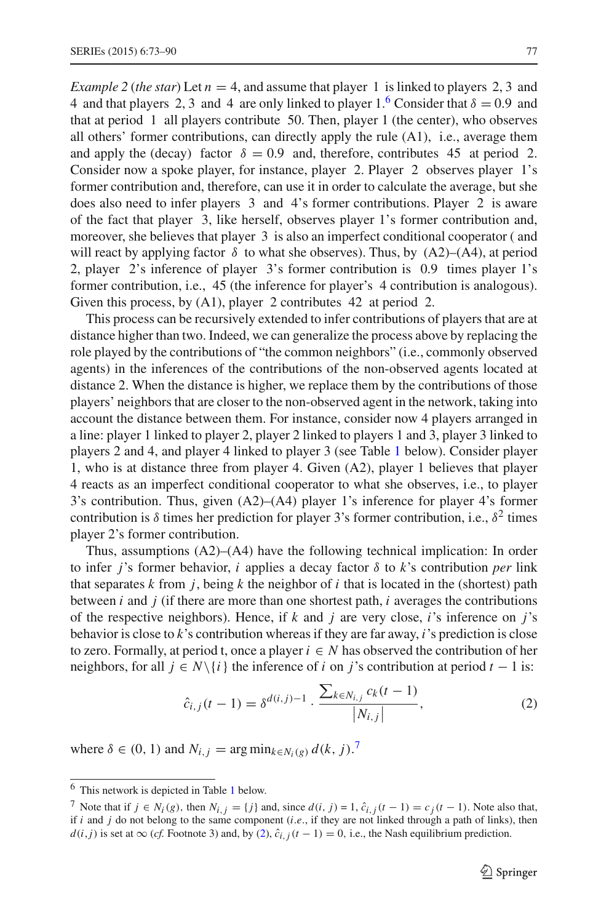*Example 2 (the star)* Let  $n = 4$ , and assume that player 1 is linked to players 2, 3 and 4 and that players 2, 3 and 4 are only linked to player 1.<sup>6</sup> Consider that  $\delta = 0.9$  and that at period 1 all players contribute 50. Then, player 1 (the center), who observes all others' former contributions, can directly apply the rule (A1), i.e., average them and apply the (decay) factor  $\delta = 0.9$  and, therefore, contributes 45 at period 2. Consider now a spoke player, for instance, player 2. Player 2 observes player 1's former contribution and, therefore, can use it in order to calculate the average, but she does also need to infer players 3 and 4's former contributions. Player 2 is aware of the fact that player 3, like herself, observes player 1's former contribution and, moreover, she believes that player 3 is also an imperfect conditional cooperator ( and will react by applying factor  $\delta$  to what she observes). Thus, by (A2)–(A4), at period 2, player 2's inference of player 3's former contribution is 0.9 times player 1's former contribution, i.e., 45 (the inference for player's 4 contribution is analogous). Given this process, by (A1), player 2 contributes 42 at period 2.

This process can be recursively extended to infer contributions of players that are at distance higher than two. Indeed, we can generalize the process above by replacing the role played by the contributions of "the common neighbors" (i.e., commonly observed agents) in the inferences of the contributions of the non-observed agents located at distance 2. When the distance is higher, we replace them by the contributions of those players' neighbors that are closer to the non-observed agent in the network, taking into account the distance between them. For instance, consider now 4 players arranged in a line: player 1 linked to player 2, player 2 linked to players 1 and 3, player 3 linked to players 2 and 4, and player 4 linked to player 3 (see Table [1](#page-5-0) below). Consider player 1, who is at distance three from player 4. Given (A2), player 1 believes that player 4 reacts as an imperfect conditional cooperator to what she observes, i.e., to player 3's contribution. Thus, given (A2)–(A4) player 1's inference for player 4's former contribution is  $\delta$  times her prediction for player 3's former contribution, i.e.,  $\delta^2$  times player 2's former contribution.

Thus, assumptions (A2)–(A4) have the following technical implication: In order to infer *j*'s former behavior, *i* applies a decay factor  $\delta$  to  $k$ 's contribution *per* link that separates  $k$  from  $j$ , being  $k$  the neighbor of  $i$  that is located in the (shortest) path between *i* and *j* (if there are more than one shortest path, *i* averages the contributions of the respective neighbors). Hence, if *k* and *j* are very close, *i*'s inference on *j*'s behavior is close to *k*'s contribution whereas if they are far away, *i*'s prediction is close to zero. Formally, at period t, once a player  $i \in N$  has observed the contribution of her neighbors, for all  $j \in N\{i\}$  the inference of *i* on *j*'s contribution at period  $t - 1$  is:

$$
\hat{c}_{i,j}(t-1) = \delta^{d(i,j)-1} \cdot \frac{\sum_{k \in N_{i,j}} c_k(t-1)}{|N_{i,j}|},\tag{2}
$$

<span id="page-4-2"></span>where  $\delta \in (0, 1)$  and  $N_{i,j} = \arg \min_{k \in N_i(g)} d(k, j)$ .<sup>[7](#page-4-1)</sup>

<sup>6</sup> This network is depicted in Table [1](#page-5-0) below.

<span id="page-4-1"></span><span id="page-4-0"></span><sup>7</sup> Note that if *j* ∈ *N<sub>i</sub>*(*g*), then  $N_{i,j} = \{j\}$  and, since  $d(i, j) = 1$ ,  $\hat{c}_{i,j}(t - 1) = c_j(t - 1)$ . Note also that, if *i* and *j* do not belong to the same component (*i*.*e*., if they are not linked through a path of links), then *d*(*i*, *j*) is set at ∞ (*cf.* Footnote 3) and, by [\(2\)](#page-4-2),  $\hat{c}$ <sub>*i*, *j*(*t* − 1) = 0, i.e., the Nash equilibrium prediction.</sub>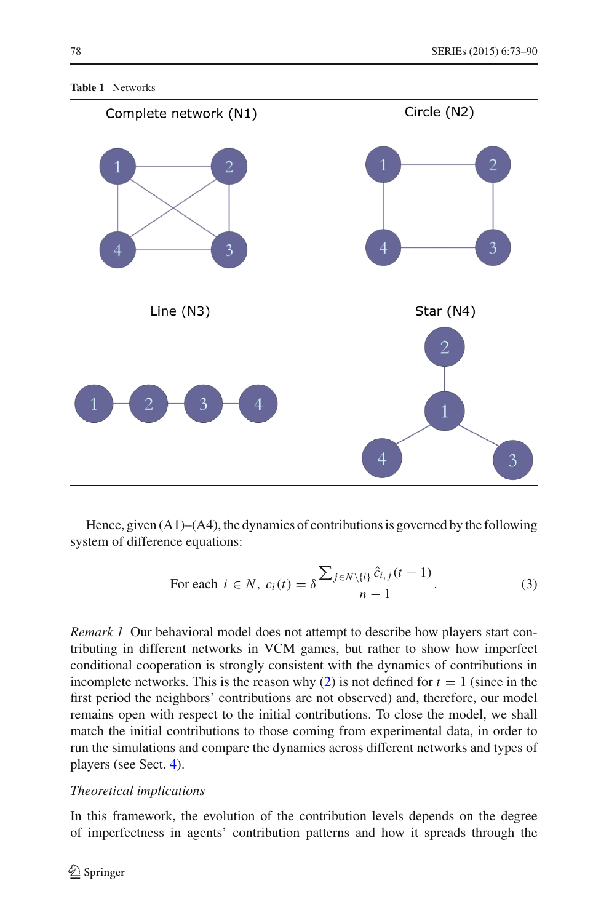<span id="page-5-0"></span>

Hence, given  $(A1)$ – $(A4)$ , the dynamics of contributions is governed by the following system of difference equations:

For each 
$$
i \in N
$$
,  $c_i(t) = \delta \frac{\sum_{j \in N \setminus \{i\}} \hat{c}_{i,j}(t-1)}{n-1}$ . (3)

<span id="page-5-1"></span>*Remark 1* Our behavioral model does not attempt to describe how players start contributing in different networks in VCM games, but rather to show how imperfect conditional cooperation is strongly consistent with the dynamics of contributions in incomplete networks. This is the reason why  $(2)$  is not defined for  $t = 1$  (since in the first period the neighbors' contributions are not observed) and, therefore, our model remains open with respect to the initial contributions. To close the model, we shall match the initial contributions to those coming from experimental data, in order to run the simulations and compare the dynamics across different networks and types of players (see Sect. [4\)](#page-9-0).

### *Theoretical implications*

In this framework, the evolution of the contribution levels depends on the degree of imperfectness in agents' contribution patterns and how it spreads through the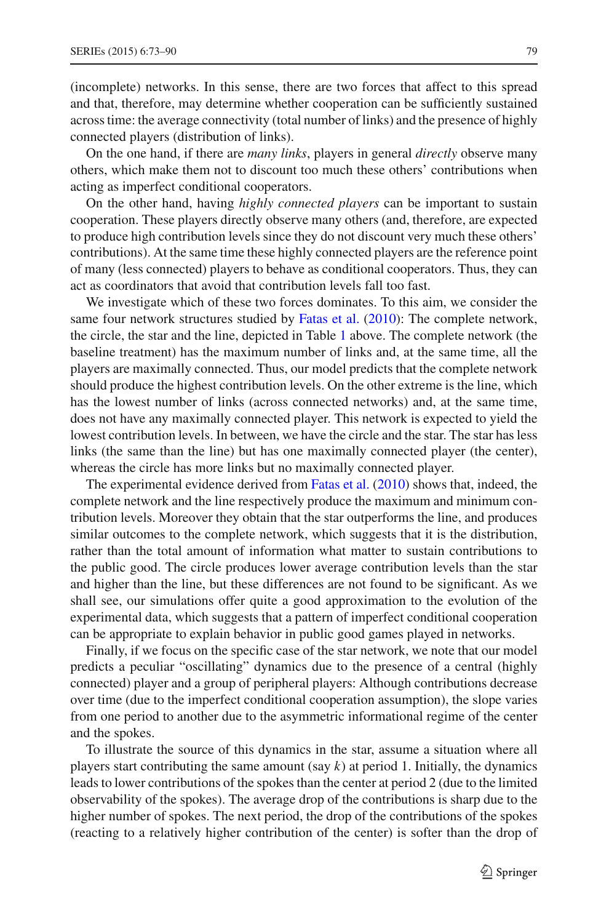(incomplete) networks. In this sense, there are two forces that affect to this spread and that, therefore, may determine whether cooperation can be sufficiently sustained across time: the average connectivity (total number of links) and the presence of highly connected players (distribution of links).

On the one hand, if there are *many links*, players in general *directly* observe many others, which make them not to discount too much these others' contributions when acting as imperfect conditional cooperators.

On the other hand, having *highly connected players* can be important to sustain cooperation. These players directly observe many others (and, therefore, are expected to produce high contribution levels since they do not discount very much these others' contributions). At the same time these highly connected players are the reference point of many (less connected) players to behave as conditional cooperators. Thus, they can act as coordinators that avoid that contribution levels fall too fast.

We investigate which of these two forces dominates. To this aim, we consider the same four network structures studied by [Fatas et al.](#page-17-4) [\(2010\)](#page-17-4): The complete network, the circle, the star and the line, depicted in Table [1](#page-5-0) above. The complete network (the baseline treatment) has the maximum number of links and, at the same time, all the players are maximally connected. Thus, our model predicts that the complete network should produce the highest contribution levels. On the other extreme is the line, which has the lowest number of links (across connected networks) and, at the same time, does not have any maximally connected player. This network is expected to yield the lowest contribution levels. In between, we have the circle and the star. The star has less links (the same than the line) but has one maximally connected player (the center), whereas the circle has more links but no maximally connected player.

The experimental evidence derived from [Fatas et al.](#page-17-4) [\(2010](#page-17-4)) shows that, indeed, the complete network and the line respectively produce the maximum and minimum contribution levels. Moreover they obtain that the star outperforms the line, and produces similar outcomes to the complete network, which suggests that it is the distribution, rather than the total amount of information what matter to sustain contributions to the public good. The circle produces lower average contribution levels than the star and higher than the line, but these differences are not found to be significant. As we shall see, our simulations offer quite a good approximation to the evolution of the experimental data, which suggests that a pattern of imperfect conditional cooperation can be appropriate to explain behavior in public good games played in networks.

Finally, if we focus on the specific case of the star network, we note that our model predicts a peculiar "oscillating" dynamics due to the presence of a central (highly connected) player and a group of peripheral players: Although contributions decrease over time (due to the imperfect conditional cooperation assumption), the slope varies from one period to another due to the asymmetric informational regime of the center and the spokes.

To illustrate the source of this dynamics in the star, assume a situation where all players start contributing the same amount  $(say k)$  at period 1. Initially, the dynamics leads to lower contributions of the spokes than the center at period 2 (due to the limited observability of the spokes). The average drop of the contributions is sharp due to the higher number of spokes. The next period, the drop of the contributions of the spokes (reacting to a relatively higher contribution of the center) is softer than the drop of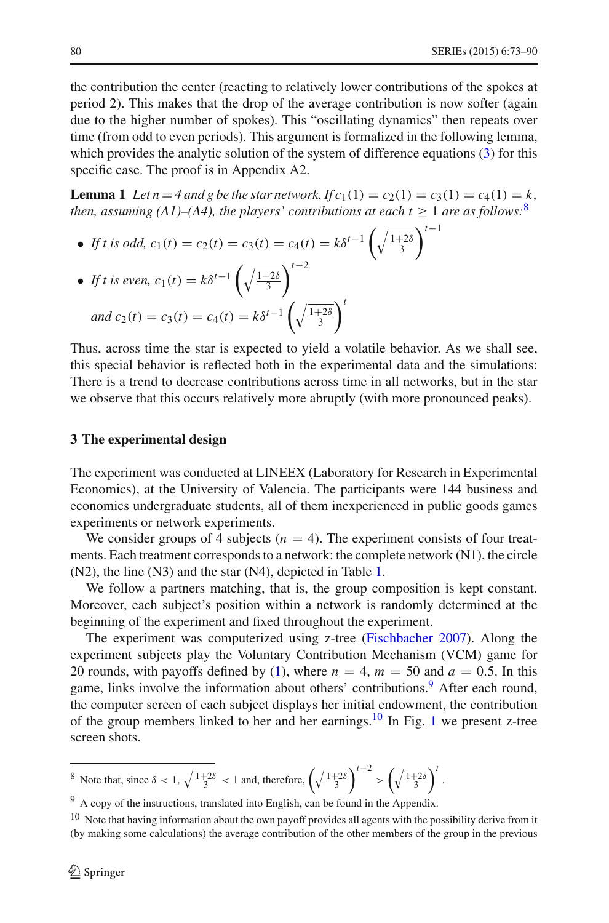the contribution the center (reacting to relatively lower contributions of the spokes at period 2). This makes that the drop of the average contribution is now softer (again due to the higher number of spokes). This "oscillating dynamics" then repeats over time (from odd to even periods). This argument is formalized in the following lemma, which provides the analytic solution of the system of difference equations [\(3\)](#page-5-1) for this specific case. The proof is in Appendix A2.

<span id="page-7-4"></span>**Lemma 1** *Let*  $n = 4$  *and g be the star network. If*  $c_1(1) = c_2(1) = c_3(1) = c_4(1) = k$ , *then, assuming (A1)–(A4), the players' contributions at each*  $t \geq 1$  *are as follows:*<sup>[8](#page-7-1)</sup>

• If t is odd, 
$$
c_1(t) = c_2(t) = c_3(t) = c_4(t) = k\delta^{t-1} \left(\sqrt{\frac{1+2\delta}{3}}\right)^{t-1}
$$

• If *t* is even, 
$$
c_1(t) = k\delta^{t-1} \left(\sqrt{\frac{1+2\delta}{3}}\right)^{t-2}
$$
  
and  $c_2(t) = c_3(t) = c_4(t) = k\delta^{t-1} \left(\sqrt{\frac{1+2\delta}{3}}\right)^t$ 

Thus, across time the star is expected to yield a volatile behavior. As we shall see, this special behavior is reflected both in the experimental data and the simulations: There is a trend to decrease contributions across time in all networks, but in the star we observe that this occurs relatively more abruptly (with more pronounced peaks).

### <span id="page-7-0"></span>**3 The experimental design**

The experiment was conducted at LINEEX (Laboratory for Research in Experimental Economics), at the University of Valencia. The participants were 144 business and economics undergraduate students, all of them inexperienced in public goods games experiments or network experiments.

We consider groups of 4 subjects  $(n = 4)$ . The experiment consists of four treatments. Each treatment corresponds to a network: the complete network (N1), the circle (N2), the line (N3) and the star (N4), depicted in Table [1.](#page-5-0)

We follow a partners matching, that is, the group composition is kept constant. Moreover, each subject's position within a network is randomly determined at the beginning of the experiment and fixed throughout the experiment.

The experiment was computerized using z-tree [\(Fischbacher 2007\)](#page-17-19). Along the experiment subjects play the Voluntary Contribution Mechanism (VCM) game for 20 rounds, with payoffs defined by [\(1\)](#page-2-3), where  $n = 4$ ,  $m = 50$  and  $a = 0.5$ . In this game, links involve the information about others' contributions.<sup>9</sup> After each round, the computer screen of each subject displays her initial endowment, the contribution of the group members linked to her and her earnings.<sup>[1](#page-8-0)0</sup> In Fig. 1 we present z-tree screen shots.

$$
\frac{8 \text{ Note that, since } \delta < 1, \sqrt{\frac{1+2\delta}{3}} < 1 \text{ and, therefore, } \left(\sqrt{\frac{1+2\delta}{3}}\right)^{t-2} > \left(\sqrt{\frac{1+2\delta}{3}}\right)^t.
$$

<span id="page-7-1"></span><sup>&</sup>lt;sup>9</sup> A copy of the instructions, translated into English, can be found in the Appendix.

<span id="page-7-3"></span><span id="page-7-2"></span> $10$  Note that having information about the own payoff provides all agents with the possibility derive from it (by making some calculations) the average contribution of the other members of the group in the previous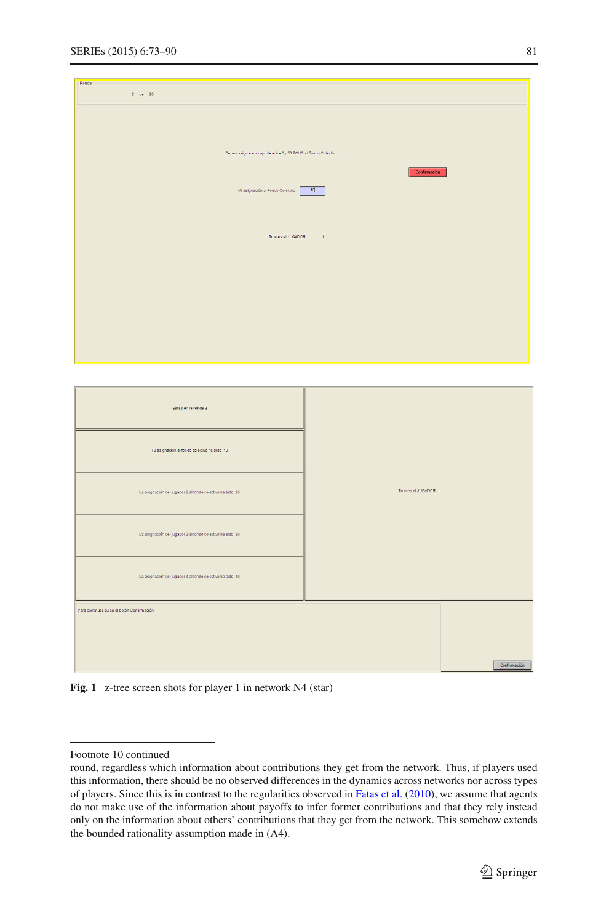| Ronda                                                          |
|----------------------------------------------------------------|
| $2$ de $20$                                                    |
|                                                                |
|                                                                |
|                                                                |
|                                                                |
|                                                                |
|                                                                |
| Debes asignar un importe entre 0 y 50 ECUS al Fondo Colectivo. |
|                                                                |
| Confirmación                                                   |
|                                                                |
| Mi asignación al Fondo Colectivo<br>10 <sup>1</sup>            |
|                                                                |
|                                                                |
|                                                                |
|                                                                |
|                                                                |
| Tueres el JUGADOR 1                                            |
|                                                                |
|                                                                |
|                                                                |
|                                                                |
|                                                                |
|                                                                |
|                                                                |
|                                                                |
|                                                                |
|                                                                |
|                                                                |
|                                                                |
|                                                                |
|                                                                |

| Estás en la ronda 2                                       |                      |
|-----------------------------------------------------------|----------------------|
| Tu asignación al fondo colectivo ha sido 10               |                      |
| La asignación del jugador 2 al fondo colectivo ha sido 20 | Tú cres el JUGADOR 1 |
| La asignación del jugador 3 al fondo colectivo ha sido 30 |                      |
| La asignación del jugador 4 al fondo colectivo ha sido 40 |                      |
| Para continuar pulsa el botón Confirmación                |                      |
|                                                           | Confirmación         |

<span id="page-8-0"></span>**Fig. 1** z-tree screen shots for player 1 in network N4 (star)

Footnote 10 continued

round, regardless which information about contributions they get from the network. Thus, if players used this information, there should be no observed differences in the dynamics across networks nor across types of players. Since this is in contrast to the regularities observed in [Fatas et al.](#page-17-4) [\(2010](#page-17-4)), we assume that agents do not make use of the information about payoffs to infer former contributions and that they rely instead only on the information about others' contributions that they get from the network. This somehow extends the bounded rationality assumption made in (A4).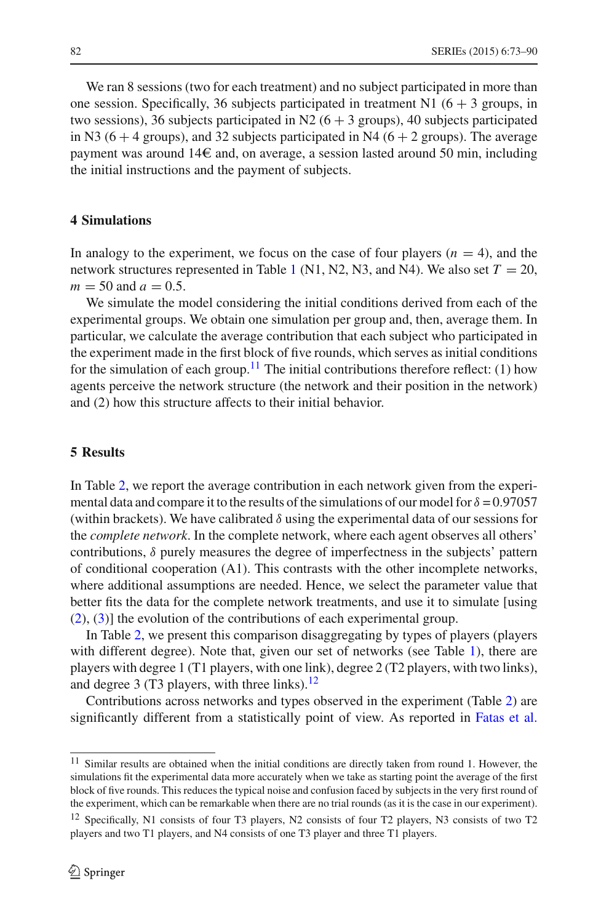We ran 8 sessions (two for each treatment) and no subject participated in more than one session. Specifically, 36 subjects participated in treatment N1 ( $6 + 3$  groups, in two sessions), 36 subjects participated in N2  $(6 + 3$  groups), 40 subjects participated in N3 (6 + 4 groups), and 32 subjects participated in N4 (6 + 2 groups). The average payment was around 14 $\epsilon$  and, on average, a session lasted around 50 min, including the initial instructions and the payment of subjects.

### <span id="page-9-0"></span>**4 Simulations**

In analogy to the experiment, we focus on the case of four players  $(n = 4)$ , and the network structures represented in Table [1](#page-5-0) (N1, N2, N3, and N4). We also set  $T = 20$ ,  $m = 50$  and  $a = 0.5$ .

We simulate the model considering the initial conditions derived from each of the experimental groups. We obtain one simulation per group and, then, average them. In particular, we calculate the average contribution that each subject who participated in the experiment made in the first block of five rounds, which serves as initial conditions for the simulation of each group.<sup>[11](#page-9-2)</sup> The initial contributions therefore reflect: (1) how agents perceive the network structure (the network and their position in the network) and (2) how this structure affects to their initial behavior.

### <span id="page-9-1"></span>**5 Results**

In Table [2,](#page-10-0) we report the average contribution in each network given from the experimental data and compare it to the results of the simulations of our model for  $\delta = 0.97057$ (within brackets). We have calibrated  $\delta$  using the experimental data of our sessions for the *complete network*. In the complete network, where each agent observes all others' contributions,  $\delta$  purely measures the degree of imperfectness in the subjects' pattern of conditional cooperation (A1). This contrasts with the other incomplete networks, where additional assumptions are needed. Hence, we select the parameter value that better fits the data for the complete network treatments, and use it to simulate [using [\(2\)](#page-4-2), [\(3\)](#page-5-1)] the evolution of the contributions of each experimental group.

In Table [2,](#page-10-0) we present this comparison disaggregating by types of players (players with different degree). Note that, given our set of networks (see Table [1\)](#page-5-0), there are players with degree 1 (T1 players, with one link), degree 2 (T2 players, with two links), and degree 3 (T3 players, with three links). $^{12}$ 

Contributions across networks and types observed in the experiment (Table [2\)](#page-10-0) are significantly different from a statistically point of view. As reported in [Fatas et al.](#page-17-4)

<span id="page-9-2"></span> $11$  Similar results are obtained when the initial conditions are directly taken from round 1. However, the simulations fit the experimental data more accurately when we take as starting point the average of the first block of five rounds. This reduces the typical noise and confusion faced by subjects in the very first round of the experiment, which can be remarkable when there are no trial rounds (as it is the case in our experiment).

<span id="page-9-3"></span> $12$  Specifically, N1 consists of four T3 players, N2 consists of four T2 players, N3 consists of two T2 players and two T1 players, and N4 consists of one T3 player and three T1 players.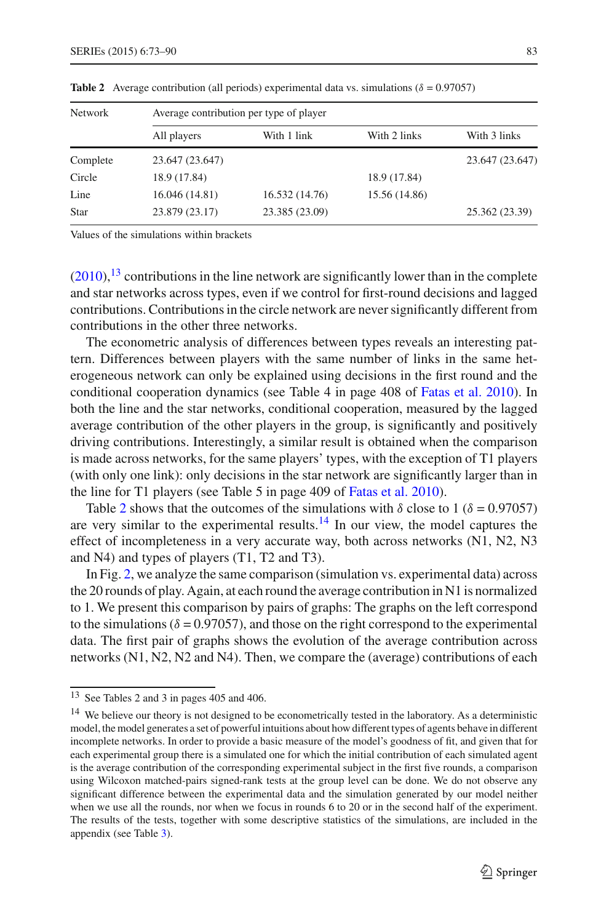| <b>Network</b> | Average contribution per type of player |                |               |                 |  |
|----------------|-----------------------------------------|----------------|---------------|-----------------|--|
|                | All players                             | With 1 link    | With 2 links  | With 3 links    |  |
| Complete       | 23.647 (23.647)                         |                |               | 23.647 (23.647) |  |
| Circle         | 18.9 (17.84)                            |                | 18.9 (17.84)  |                 |  |
| Line           | 16.046 (14.81)                          | 16.532 (14.76) | 15.56 (14.86) |                 |  |
| <b>Star</b>    | 23.879 (23.17)                          | 23.385 (23.09) |               | 25.362 (23.39)  |  |

<span id="page-10-0"></span>**Table 2** Average contribution (all periods) experimental data vs. simulations ( $\delta = 0.97057$ )

Values of the simulations within brackets

 $(2010)$ ,<sup>[13](#page-10-1)</sup> contributions in the line network are significantly lower than in the complete and star networks across types, even if we control for first-round decisions and lagged contributions. Contributions in the circle network are never significantly different from contributions in the other three networks.

The econometric analysis of differences between types reveals an interesting pattern. Differences between players with the same number of links in the same heterogeneous network can only be explained using decisions in the first round and the conditional cooperation dynamics (see Table 4 in page 408 of [Fatas et al. 2010\)](#page-17-4). In both the line and the star networks, conditional cooperation, measured by the lagged average contribution of the other players in the group, is significantly and positively driving contributions. Interestingly, a similar result is obtained when the comparison is made across networks, for the same players' types, with the exception of T1 players (with only one link): only decisions in the star network are significantly larger than in the line for T1 players (see Table 5 in page 409 of [Fatas et al. 2010](#page-17-4)).

Table [2](#page-10-0) shows that the outcomes of the simulations with  $\delta$  close to 1 ( $\delta$  = 0.97057) are very similar to the experimental results.<sup>[14](#page-10-2)</sup> In our view, the model captures the effect of incompleteness in a very accurate way, both across networks (N1, N2, N3 and N4) and types of players (T1, T2 and T3).

In Fig. [2,](#page-11-0) we analyze the same comparison (simulation vs. experimental data) across the 20 rounds of play. Again, at each round the average contribution in N1 is normalized to 1. We present this comparison by pairs of graphs: The graphs on the left correspond to the simulations ( $\delta = 0.97057$ ), and those on the right correspond to the experimental data. The first pair of graphs shows the evolution of the average contribution across networks (N1, N2, N2 and N4). Then, we compare the (average) contributions of each

<sup>13</sup> See Tables 2 and 3 in pages 405 and 406.

<span id="page-10-2"></span><span id="page-10-1"></span><sup>&</sup>lt;sup>14</sup> We believe our theory is not designed to be econometrically tested in the laboratory. As a deterministic model, the model generates a set of powerful intuitions about how different types of agents behave in different incomplete networks. In order to provide a basic measure of the model's goodness of fit, and given that for each experimental group there is a simulated one for which the initial contribution of each simulated agent is the average contribution of the corresponding experimental subject in the first five rounds, a comparison using Wilcoxon matched-pairs signed-rank tests at the group level can be done. We do not observe any significant difference between the experimental data and the simulation generated by our model neither when we use all the rounds, nor when we focus in rounds 6 to 20 or in the second half of the experiment. The results of the tests, together with some descriptive statistics of the simulations, are included in the appendix (see Table [3\)](#page-16-0).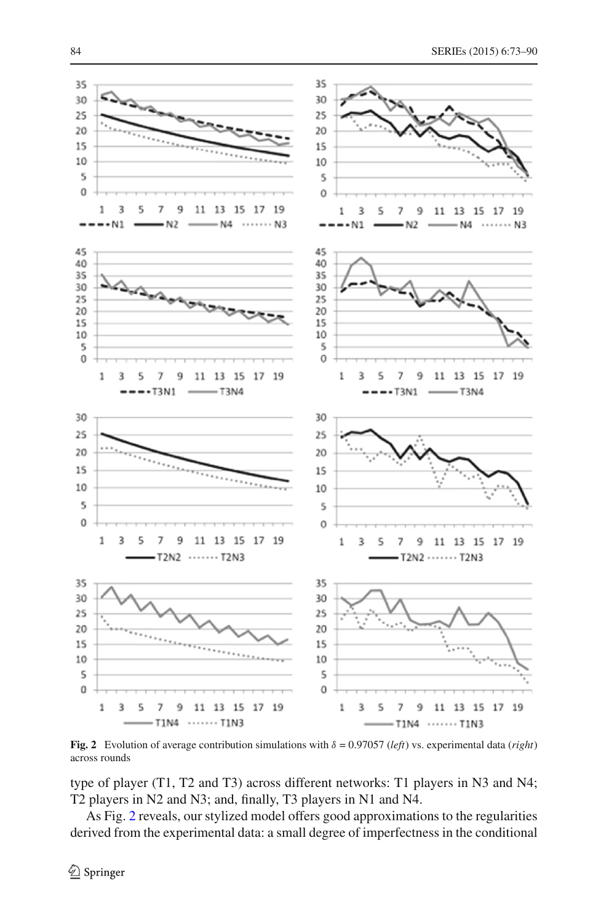

<span id="page-11-0"></span>**Fig. 2** Evolution of average contribution simulations with δ = 0.97057 (*left*) vs. experimental data (*right*) across rounds

type of player (T1, T2 and T3) across different networks: T1 players in N3 and N4; T2 players in N2 and N3; and, finally, T3 players in N1 and N4.

As Fig. [2](#page-11-0) reveals, our stylized model offers good approximations to the regularities derived from the experimental data: a small degree of imperfectness in the conditional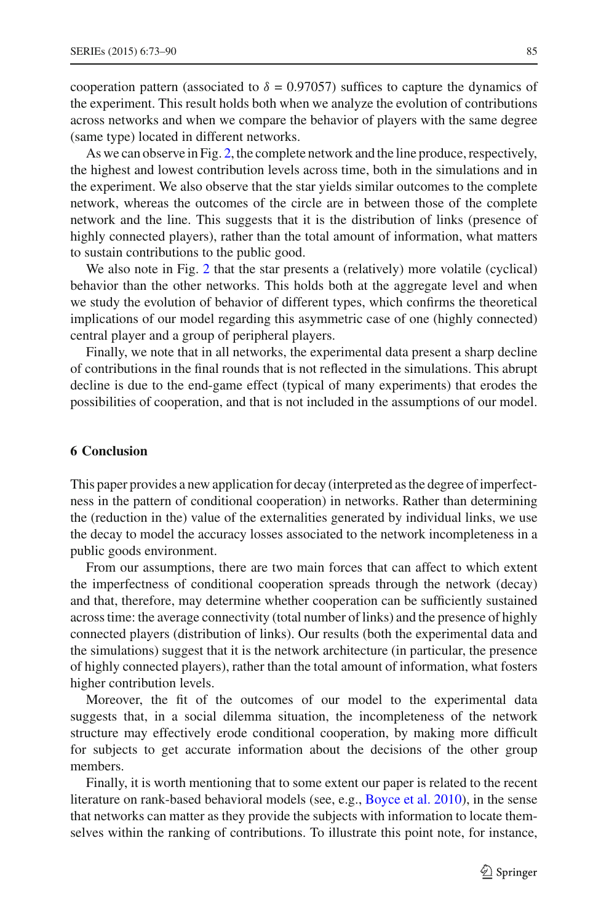cooperation pattern (associated to  $\delta = 0.97057$ ) suffices to capture the dynamics of the experiment. This result holds both when we analyze the evolution of contributions across networks and when we compare the behavior of players with the same degree (same type) located in different networks.

As we can observe in Fig. [2,](#page-11-0) the complete network and the line produce, respectively, the highest and lowest contribution levels across time, both in the simulations and in the experiment. We also observe that the star yields similar outcomes to the complete network, whereas the outcomes of the circle are in between those of the complete network and the line. This suggests that it is the distribution of links (presence of highly connected players), rather than the total amount of information, what matters to sustain contributions to the public good.

We also note in Fig. [2](#page-11-0) that the star presents a (relatively) more volatile (cyclical) behavior than the other networks. This holds both at the aggregate level and when we study the evolution of behavior of different types, which confirms the theoretical implications of our model regarding this asymmetric case of one (highly connected) central player and a group of peripheral players.

Finally, we note that in all networks, the experimental data present a sharp decline of contributions in the final rounds that is not reflected in the simulations. This abrupt decline is due to the end-game effect (typical of many experiments) that erodes the possibilities of cooperation, and that is not included in the assumptions of our model.

### <span id="page-12-0"></span>**6 Conclusion**

This paper provides a new application for decay (interpreted as the degree of imperfectness in the pattern of conditional cooperation) in networks. Rather than determining the (reduction in the) value of the externalities generated by individual links, we use the decay to model the accuracy losses associated to the network incompleteness in a public goods environment.

From our assumptions, there are two main forces that can affect to which extent the imperfectness of conditional cooperation spreads through the network (decay) and that, therefore, may determine whether cooperation can be sufficiently sustained across time: the average connectivity (total number of links) and the presence of highly connected players (distribution of links). Our results (both the experimental data and the simulations) suggest that it is the network architecture (in particular, the presence of highly connected players), rather than the total amount of information, what fosters higher contribution levels.

Moreover, the fit of the outcomes of our model to the experimental data suggests that, in a social dilemma situation, the incompleteness of the network structure may effectively erode conditional cooperation, by making more difficult for subjects to get accurate information about the decisions of the other group members.

Finally, it is worth mentioning that to some extent our paper is related to the recent literature on rank-based behavioral models (see, e.g., [Boyce et al. 2010](#page-17-20)), in the sense that networks can matter as they provide the subjects with information to locate themselves within the ranking of contributions. To illustrate this point note, for instance,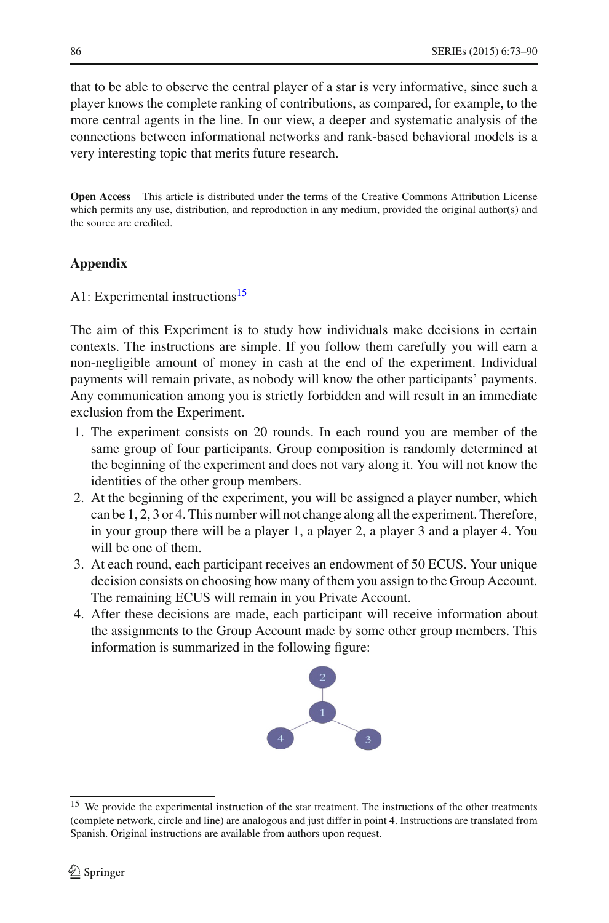that to be able to observe the central player of a star is very informative, since such a player knows the complete ranking of contributions, as compared, for example, to the more central agents in the line. In our view, a deeper and systematic analysis of the connections between informational networks and rank-based behavioral models is a very interesting topic that merits future research.

**Open Access** This article is distributed under the terms of the Creative Commons Attribution License which permits any use, distribution, and reproduction in any medium, provided the original author(s) and the source are credited.

## **Appendix**

A1: Experimental instructions<sup>15</sup>

The aim of this Experiment is to study how individuals make decisions in certain contexts. The instructions are simple. If you follow them carefully you will earn a non-negligible amount of money in cash at the end of the experiment. Individual payments will remain private, as nobody will know the other participants' payments. Any communication among you is strictly forbidden and will result in an immediate exclusion from the Experiment.

- 1. The experiment consists on 20 rounds. In each round you are member of the same group of four participants. Group composition is randomly determined at the beginning of the experiment and does not vary along it. You will not know the identities of the other group members.
- 2. At the beginning of the experiment, you will be assigned a player number, which can be 1, 2, 3 or 4. This number will not change along all the experiment. Therefore, in your group there will be a player 1, a player 2, a player 3 and a player 4. You will be one of them.
- 3. At each round, each participant receives an endowment of 50 ECUS. Your unique decision consists on choosing how many of them you assign to the Group Account. The remaining ECUS will remain in you Private Account.
- 4. After these decisions are made, each participant will receive information about the assignments to the Group Account made by some other group members. This information is summarized in the following figure:



<span id="page-13-0"></span><sup>&</sup>lt;sup>15</sup> We provide the experimental instruction of the star treatment. The instructions of the other treatments (complete network, circle and line) are analogous and just differ in point 4. Instructions are translated from Spanish. Original instructions are available from authors upon request.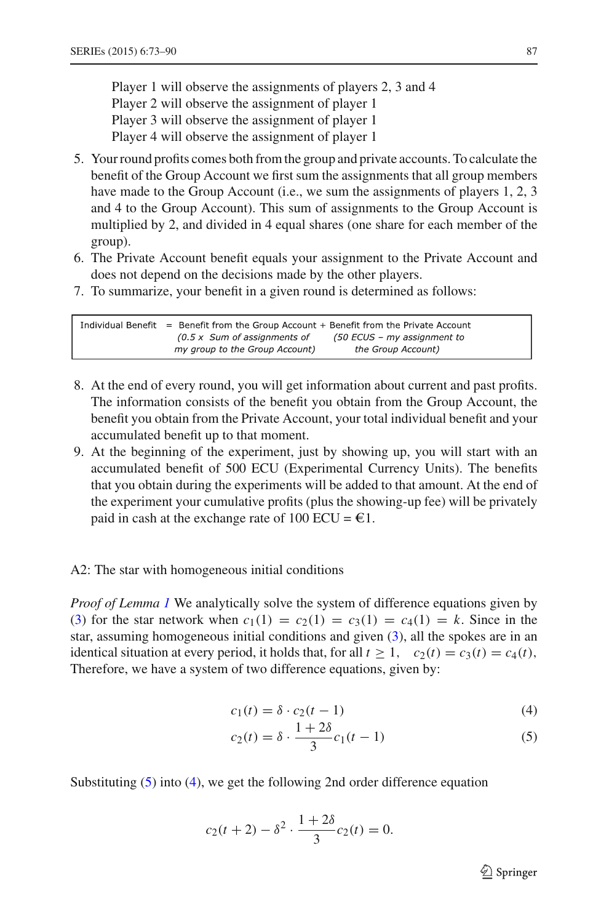Player 1 will observe the assignments of players 2, 3 and 4 Player 2 will observe the assignment of player 1 Player 3 will observe the assignment of player 1 Player 4 will observe the assignment of player 1

- 5. Your round profits comes both from the group and private accounts. To calculate the benefit of the Group Account we first sum the assignments that all group members have made to the Group Account (i.e., we sum the assignments of players 1, 2, 3 and 4 to the Group Account). This sum of assignments to the Group Account is multiplied by 2, and divided in 4 equal shares (one share for each member of the group).
- 6. The Private Account benefit equals your assignment to the Private Account and does not depend on the decisions made by the other players.
- 7. To summarize, your benefit in a given round is determined as follows:

```
Individual Benefit = Benefit from the Group Account + Benefit from the Private Account
        (0.5 x) Sum of assignments of
                                          (50 ECUS - my assignment to
                                               the Group Account)
        my group to the Group Account)
```
- 8. At the end of every round, you will get information about current and past profits. The information consists of the benefit you obtain from the Group Account, the benefit you obtain from the Private Account, your total individual benefit and your accumulated benefit up to that moment.
- 9. At the beginning of the experiment, just by showing up, you will start with an accumulated benefit of 500 ECU (Experimental Currency Units). The benefits that you obtain during the experiments will be added to that amount. At the end of the experiment your cumulative profits (plus the showing-up fee) will be privately paid in cash at the exchange rate of 100 ECU =  $\epsilon$ 1.

#### A2: The star with homogeneous initial conditions

*Proof of Lemma [1](#page-7-4)* We analytically solve the system of difference equations given by [\(3\)](#page-5-1) for the star network when  $c_1(1) = c_2(1) = c_3(1) = c_4(1) = k$ . Since in the star, assuming homogeneous initial conditions and given [\(3\)](#page-5-1), all the spokes are in an identical situation at every period, it holds that, for all  $t \ge 1$ ,  $c_2(t) = c_3(t) = c_4(t)$ , Therefore, we have a system of two difference equations, given by:

$$
c_1(t) = \delta \cdot c_2(t-1) \tag{4}
$$

$$
c_2(t) = \delta \cdot \frac{1+2\delta}{3}c_1(t-1)
$$
 (5)

<span id="page-14-0"></span>Substituting  $(5)$  into  $(4)$ , we get the following 2nd order difference equation

$$
c_2(t+2) - \delta^2 \cdot \frac{1+2\delta}{3}c_2(t) = 0.
$$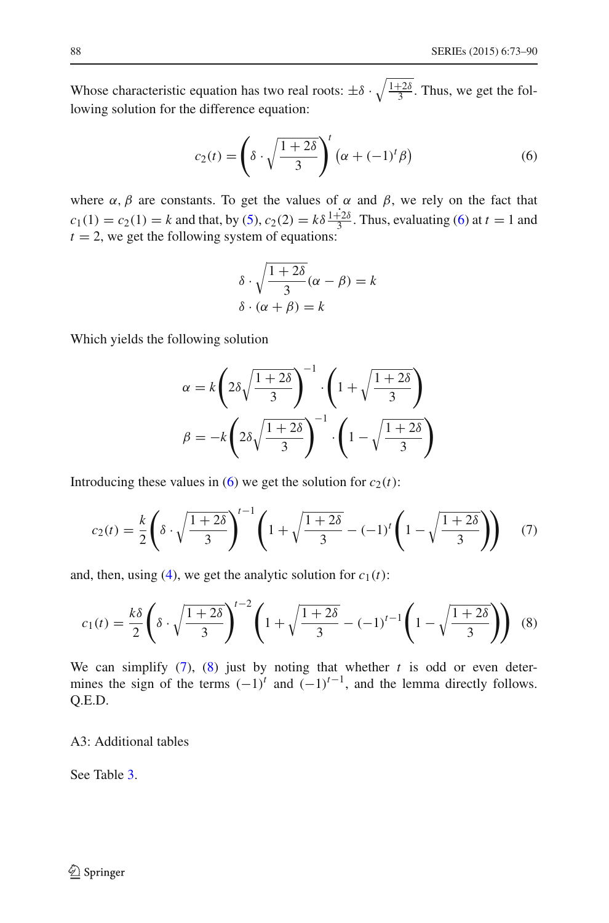Whose characteristic equation has two real roots:  $\pm \delta \cdot \sqrt{\frac{1+2\delta}{3}}$ . Thus, we get the following solution for the difference equation:

$$
c_2(t) = \left(\delta \cdot \sqrt{\frac{1+2\delta}{3}}\right)^t \left(\alpha + (-1)^t \beta\right)
$$
 (6)

<span id="page-15-0"></span>where  $\alpha$ ,  $\beta$  are constants. To get the values of  $\alpha$  and  $\beta$ , we rely on the fact that  $c_1(1) = c_2(1) = k$  and that, by [\(5\)](#page-14-0),  $c_2(2) = k\delta \frac{1+2\delta}{3}$ . Thus, evaluating [\(6\)](#page-15-0) at  $t = 1$  and  $t = 2$ , we get the following system of equations:

$$
\delta \cdot \sqrt{\frac{1+2\delta}{3}}(\alpha - \beta) = k
$$

$$
\delta \cdot (\alpha + \beta) = k
$$

Which yields the following solution

$$
\alpha = k \left( 2 \delta \sqrt{\frac{1+2\delta}{3}} \right)^{-1} \cdot \left( 1 + \sqrt{\frac{1+2\delta}{3}} \right)
$$

$$
\beta = -k \left( 2 \delta \sqrt{\frac{1+2\delta}{3}} \right)^{-1} \cdot \left( 1 - \sqrt{\frac{1+2\delta}{3}} \right)
$$

<span id="page-15-1"></span>Introducing these values in [\(6\)](#page-15-0) we get the solution for  $c_2(t)$ :

$$
c_2(t) = \frac{k}{2} \left( \delta \cdot \sqrt{\frac{1+2\delta}{3}} \right)^{t-1} \left( 1 + \sqrt{\frac{1+2\delta}{3}} - (-1)^t \left( 1 - \sqrt{\frac{1+2\delta}{3}} \right) \right) \tag{7}
$$

<span id="page-15-2"></span>and, then, using [\(4\)](#page-14-0), we get the analytic solution for  $c_1(t)$ :

$$
c_1(t) = \frac{k\delta}{2} \left( \delta \cdot \sqrt{\frac{1+2\delta}{3}} \right)^{t-2} \left( 1 + \sqrt{\frac{1+2\delta}{3}} - (-1)^{t-1} \left( 1 - \sqrt{\frac{1+2\delta}{3}} \right) \right) (8)
$$

We can simplify  $(7)$ ,  $(8)$  just by noting that whether *t* is odd or even determines the sign of the terms  $(-1)^t$  and  $(-1)^{t-1}$ , and the lemma directly follows. Q.E.D.

### A3: Additional tables

See Table [3.](#page-16-0)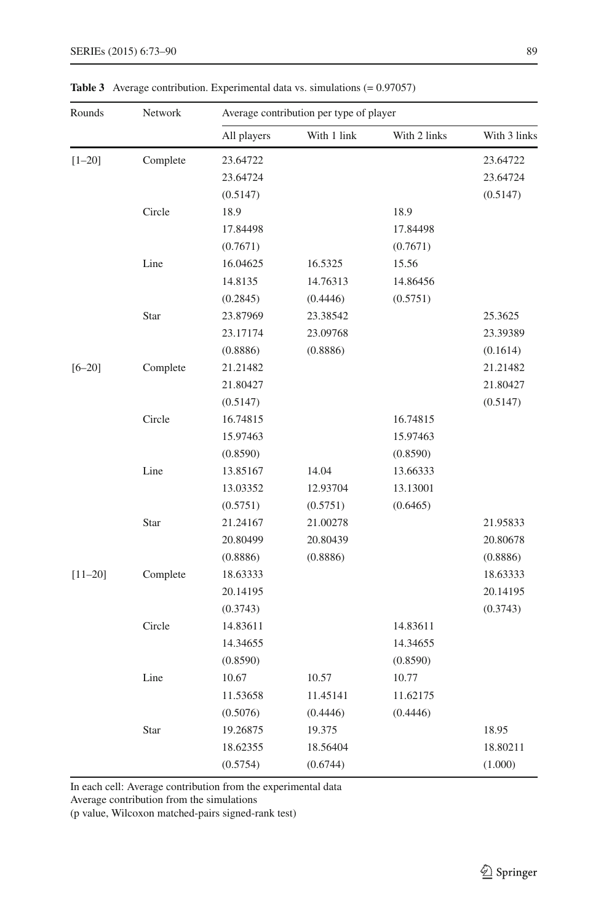| SERIEs (2015) 6:73–90 |  |
|-----------------------|--|
|                       |  |

| Rounds      | Network  | Average contribution per type of player |             |              |              |
|-------------|----------|-----------------------------------------|-------------|--------------|--------------|
|             |          | All players                             | With 1 link | With 2 links | With 3 links |
| $[1 - 20]$  | Complete | 23.64722                                |             |              | 23.64722     |
|             |          | 23.64724                                |             |              | 23.64724     |
|             |          | (0.5147)                                |             |              | (0.5147)     |
|             | Circle   | 18.9                                    |             | 18.9         |              |
|             |          | 17.84498                                |             | 17.84498     |              |
|             |          | (0.7671)                                |             | (0.7671)     |              |
|             | Line     | 16.04625                                | 16.5325     | 15.56        |              |
|             |          | 14.8135                                 | 14.76313    | 14.86456     |              |
|             |          | (0.2845)                                | (0.4446)    | (0.5751)     |              |
|             | Star     | 23.87969                                | 23.38542    |              | 25.3625      |
|             |          | 23.17174                                | 23.09768    |              | 23.39389     |
|             |          | (0.8886)                                | (0.8886)    |              | (0.1614)     |
| $[6 - 20]$  | Complete | 21.21482                                |             |              | 21.21482     |
|             |          | 21.80427                                |             |              | 21.80427     |
|             |          | (0.5147)                                |             |              | (0.5147)     |
|             | Circle   | 16.74815                                |             | 16.74815     |              |
|             |          | 15.97463                                |             | 15.97463     |              |
|             |          | (0.8590)                                |             | (0.8590)     |              |
|             | Line     | 13.85167                                | 14.04       | 13.66333     |              |
|             |          | 13.03352                                | 12.93704    | 13.13001     |              |
|             |          | (0.5751)                                | (0.5751)    | (0.6465)     |              |
|             | Star     | 21.24167                                | 21.00278    |              | 21.95833     |
|             |          | 20.80499                                | 20.80439    |              | 20.80678     |
|             |          | (0.8886)                                | (0.8886)    |              | (0.8886)     |
| $[11 - 20]$ | Complete | 18.63333                                |             |              | 18.63333     |
|             |          | 20.14195                                |             |              | 20.14195     |
|             |          | (0.3743)                                |             |              | (0.3743)     |
|             | Circle   | 14.83611                                |             | 14.83611     |              |
|             |          | 14.34655                                |             | 14.34655     |              |
|             |          | (0.8590)                                |             | (0.8590)     |              |
|             | Line     | 10.67                                   | 10.57       | 10.77        |              |
|             |          | 11.53658                                | 11.45141    | 11.62175     |              |
|             |          | (0.5076)                                | (0.4446)    | (0.4446)     |              |
|             | Star     | 19.26875                                | 19.375      |              | 18.95        |
|             |          | 18.62355                                | 18.56404    |              | 18.80211     |
|             |          | (0.5754)                                | (0.6744)    |              | (1.000)      |

<span id="page-16-0"></span>

|  | <b>Table 3</b> Average contribution. Experimental data vs. simulations $(= 0.97057)$ |  |  |  |
|--|--------------------------------------------------------------------------------------|--|--|--|
|--|--------------------------------------------------------------------------------------|--|--|--|

In each cell: Average contribution from the experimental data

Average contribution from the simulations

(p value, Wilcoxon matched-pairs signed-rank test)